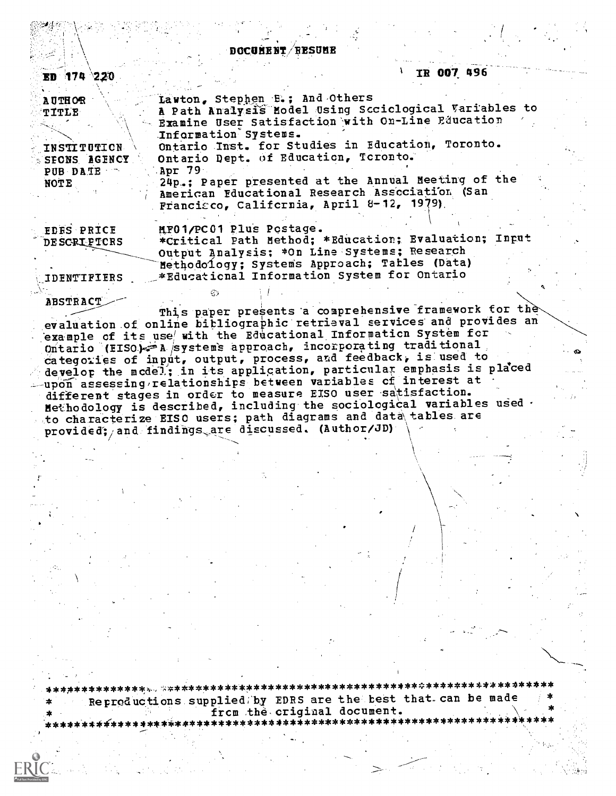DOCUMENT/RESUME

 $\mathcal{L}$ 

| ED 174 220                              |                                                                                                                                                             | $1$ TR 007 496                                        |
|-----------------------------------------|-------------------------------------------------------------------------------------------------------------------------------------------------------------|-------------------------------------------------------|
| <b>AUTHOR</b><br><b>TITLE</b>           | Lawton, Stephen E.; And Others<br>Examine User Satisfaction with On-Line Education                                                                          | A Path Analysis Model Using Scciclogical Variables to |
|                                         | Information Systems.<br>Ontario Inst. for Studies in Education, Toronto.                                                                                    |                                                       |
| INSTITUTION<br><b>SEONS AGENCY</b>      | Ontario Dept. of Education, Toronto.                                                                                                                        |                                                       |
| PUB DATE<br>NOTE                        | Apr 79<br>24p.; Paper presented at the Annual Meeting of the<br>American Educational Research Association (San<br>Francisco, California, April 8-12, 1979). |                                                       |
|                                         |                                                                                                                                                             |                                                       |
| <b>EDES PRICE</b><br><b>DESCRIFTCRS</b> | MF01/PC01 Plus Postage.                                                                                                                                     | *Critical Path Method; *Education; Evaluation; Input  |
|                                         | Output Analysis; *On Line Systems; Research<br>Methodology; Systems Approach; Tarles (Data)                                                                 |                                                       |
| <b>IDENTIFIERS</b>                      | *Educational Information System for Ontario                                                                                                                 |                                                       |
| <b>ABSTRACT</b>                         |                                                                                                                                                             |                                                       |
|                                         | evaluation of online bibliographic retrieval services and provides an                                                                                       | This paper presents a comprehensive framework for the |
|                                         | example of its use with the Educational Information System for                                                                                              |                                                       |
|                                         | Ontario (FISO) A systems approach, incorporating traditional<br>categories of input, output, process, and feedback, is used to                              |                                                       |
|                                         | develop the mcdel; in its application, particular emphasis is placed<br>upon assessing relationships between variables of interest at                       |                                                       |
|                                         | different stages in order to measure EISO user satisfaction.                                                                                                |                                                       |
|                                         | Hethodology is described, including the sociological variables used<br>to characterize EISO users; path diagrams and data tables are                        |                                                       |
|                                         | provided; and findings are discussed. (Author/JD)                                                                                                           |                                                       |
|                                         |                                                                                                                                                             |                                                       |
|                                         |                                                                                                                                                             |                                                       |
|                                         |                                                                                                                                                             |                                                       |
|                                         |                                                                                                                                                             |                                                       |
|                                         |                                                                                                                                                             |                                                       |
|                                         |                                                                                                                                                             |                                                       |
|                                         |                                                                                                                                                             |                                                       |
|                                         |                                                                                                                                                             |                                                       |

ŵ

 $\mathcal{V},\lambda$ 

أورجؤ

Reproductions supplied by EDRS are the best that can be made<br>from the criginal document.  $\ddot{\ast}$  $\star$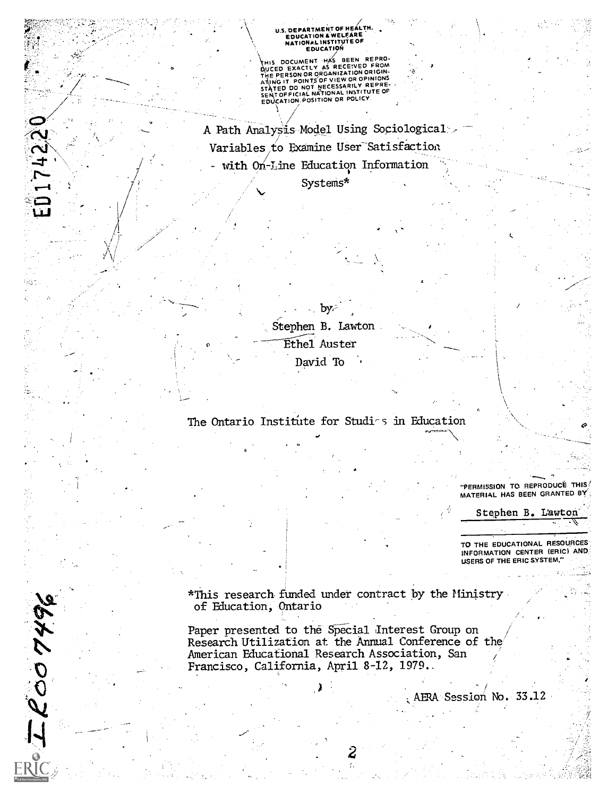#### U.S. DEPARTMENT OF HEALTH, EDUCATION & WELFAR NATIONAL INSTITUTE OF

THIS DOCUMENT HAS BEEN REPRO-<br>COCO EXACTLY AS RECEIVED FROM<br>THE PERSON OR ORGANIZATION ORIGINATION<br>ATING IT POINTS OF VIEW OR OPINIONS<br>STATED DO NOT NECESSARILY REPRE-<br>SENTOFFICIAL NATION OR POLICY. EDUCATION POSITION OR POLICY

A Path Analysis Model Using Sociological Variables to Examine User Satisfaction with On-Line Education Information Systems\*

174220

2646008

 $by<sub>c</sub>$ Stephen B. Lawton Ethel Auster David To

## The Ontario Institute for Studies in Education

"PERMISSION TO REPRODUCE THIS MATERIAL HAS BEEN GRANTED BY

Stephen B. Lawton

TO THE EDUCATIONAL RESOURCES INFORMATION CENTER (ERIC) AND **USERS OF THE ERIC SYSTEM."** 

\*This research funded under contract by the Ministry of Education, Ontario

Paper presented to the Special Interest Group on Research Utilization at the Annual Conference of the American Educational Research Association, San Francisco, California, April 8-12, 1979..

AERA Session No. 33.12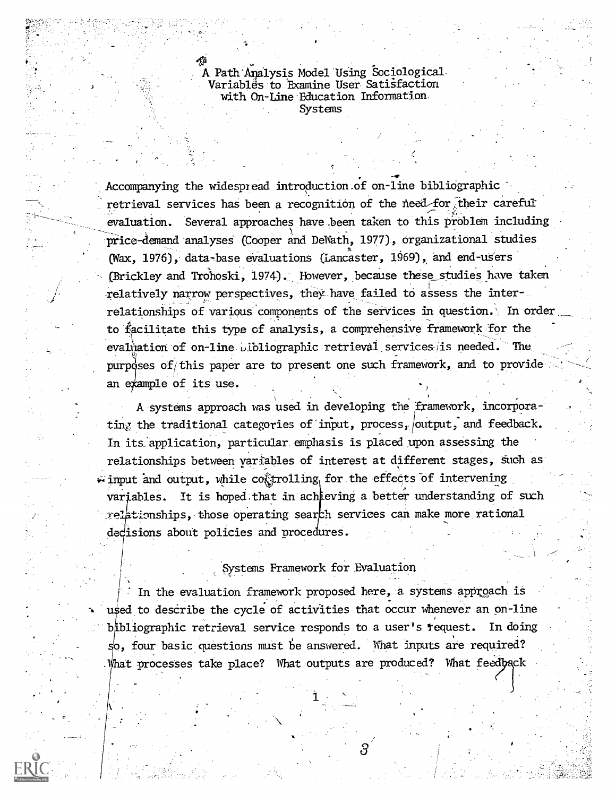A Path Analysis Model Using Sociological-Variables to Examine User Satisfaction with On-Line-Education Information. Systems

Accompanying the widespread introduction of on-line bibliographic retrieval services has been a recognition of the need-for their careful evaluation. Several approaches have been taken to this problem including price-demand analyses (Cooper and DeWath, 1977), organizational studies (Wax, 1976), data-base evaluations (Lancaster,  $1969$ ), and end-users (Brickley and Trohoski, 1974). However, because these studies have taken relatively narrow perspectives, they have failed to assess the interrelationships of various components of the services in question. In order to facilitate this type of analysis, a comprehensive framework for the evaluation of on-line bibliographic retrieval services is needed. The purposes of this paper are to present one such framework, and to provide. an example of its use.

A systems approach was used in developing the framework, incorporating the traditional categories of input, process, output, and feedback. In its application, particular emphasis is placed upon assessing the relationships between variables of interest at different stages, such as  $\epsilon$  input and output, while co $\ell$ trolling for the effects of intervening variables. It is hoped that in achieving a better understanding of such  $\tau$ elationships, those operating search services can make more rational decisions about policies and procedures.

## Systems Framework for Evaluation

In the evaluation framework proposed here, a systems approach is used to describe the cycle of activities that occur whenever an on-line bibliographic retrieval service responds to a user's tequest. In doing so, four basic questions must be answered. What inputs are required? .What processes take place? What outputs are produced? What feedback

ვ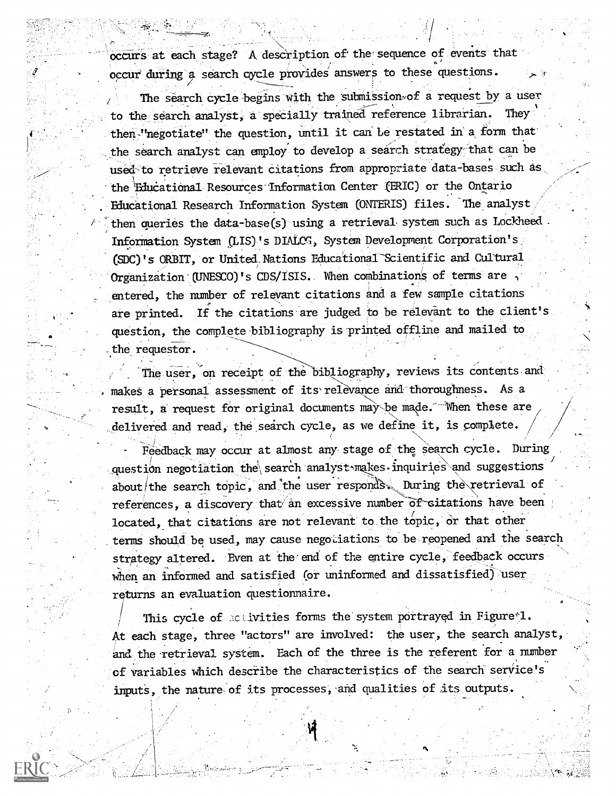occurs at each stage? A description of the sequence of events that occur during a search cycle provides answers to these questions.

The search cycle begins with the submission of a request by a user to the search analyst, a specially trained reference librarian. They then-"negotiate" the question, until it can be restated in' a form that the search analyst can employ' to develop a search strategy that can be used to retrieve relevant citations from appropriate data-bases such as the Educational Resources Information Center (ERIC) or the Ontario Educational Research Information System (ONTERIS) files. The analyst then queries the data-base(s) using a retrieval system such as Lockheed . Information System (LIS)'s DIALCG, System Development Corporation's (SDC)'s ORBIT, or United. Nations Educational-Scientific and Cultural Organization (UNESCO)'s CDS/ISIS. When combinations of terms are  $\sim$ entered, the number of relevant citations and a few sample citations are printed. If the citations are judged to be relevant to the client's question, the complete bibliography is printed offline and mailed to the requestor.

The user, on receipt of the bibliography, reviews its contents and makes a personal assessment of its relevance and thoroughness. As a result, a request for original documents may be made. When these are delivered and read, the search cycle, as we define it, is complete.

Feedback may occur at almost any stage of the search cycle. During question negotiation the search analyst makes inquiries and suggestions about/the search topic, and the user responds. During the retrieval of references, a discovery that an excessive number of sitations have been located, that citations are not relevant to the topic, or that other terms should be used, may cause negotiations to be reopened and the search strategy altered. Even at the' end of the entire cycle, feedback occurs when an informed and satisfied (or uninformed and dissatisfied) user returns an evaluation questionnaire.

This cycle of activities forms the system portrayed in Figure $\lq 1$ . At each stage, three "actors" are involved: the user, the search analyst, and the retrieval system. Each of the three is the referent for a number of variables which describe the characteristics of the search service's inputs, the nature of its processes, and qualities of its outputs.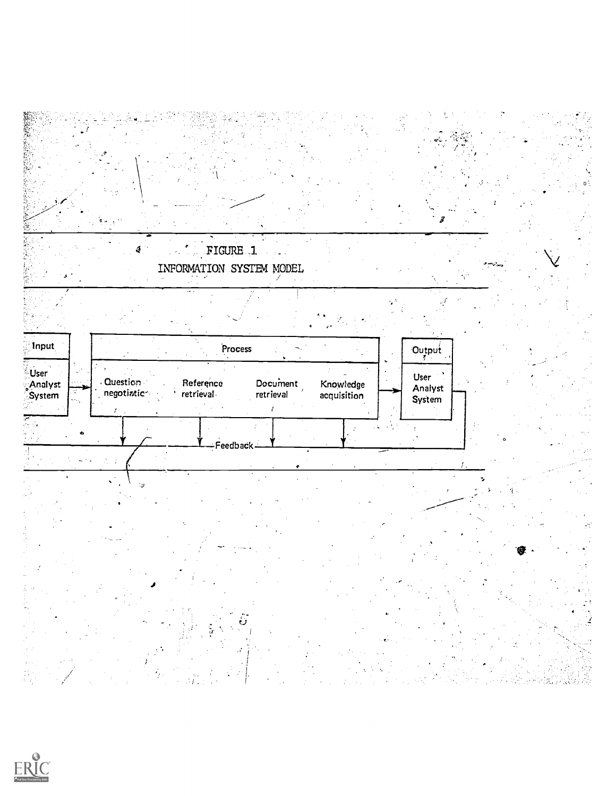

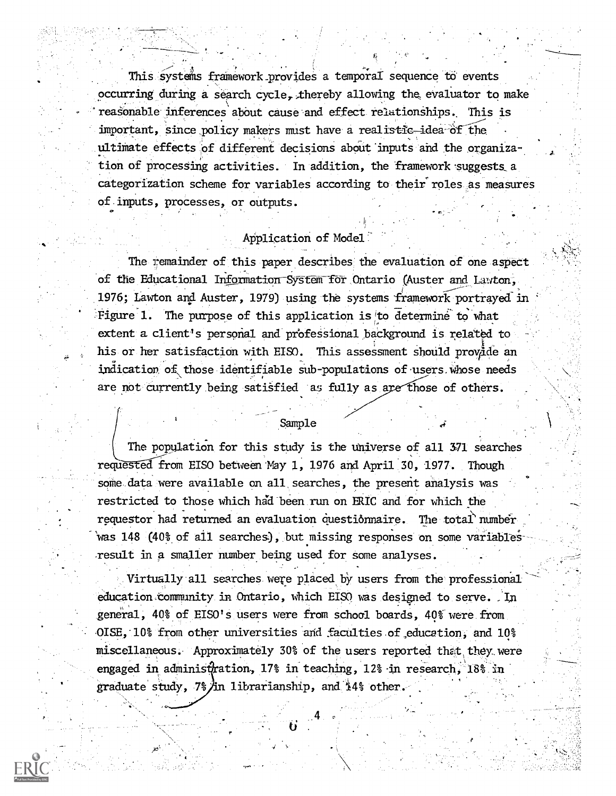This systems framework provides a temporal sequence to events occurring during a search cycle, thereby allowing the evaluator to make reasonable inferences about cause and effect relationships. This is important, since policy. makers must have a realistic-idea Of the ultimate effects of different decisions about inputs and the organization of processing activities. In addition, the framework suggests a categorization scheme for variables according to their roles as measures of inputs, processes, or outputs.

# Application of Model

The remainder of this paper describes the evaluation of one aspect of the Educational Information-System for Ontario (Auster and Lawton, 1976; Lawton and Auster, 1979) using the systems framework portrayal in Figure 1. The purpose of this application is to determine to what extent a client's personal and professional background is related to his or her satisfaction with EISO. This assessment should provide an indication of those identifiable sub-populations of users whose needs are not currently being satisfied as fully as are those of others.

### .Sample

\_

The population for this study is the universe of all 371 searches requested from EISO between May 1, 1976 and April 30, 1977. Though some data were available on all searches, the present analysis was restricted to those which had been run on ERIC and for which the requestor had returned an evaluation questionnaire. The total number was 148 (40% of all searches), but missing responses on some variables .result in a smaller number being used for some analyses.

Virtually all searches were placed by users from the professional education.community in Ontario, which EISO was designed to serve. In general, 40% of EISO's users were from school boards, 40% were from 0ISE, 10% from other universities and faculties of education, and 10% miscellaneous. Approximately 30% of the users reported that they were engaged in administration, 17% in teaching, 12% in research, 18% in. graduate study, 7% /in librarianship, and 14% other.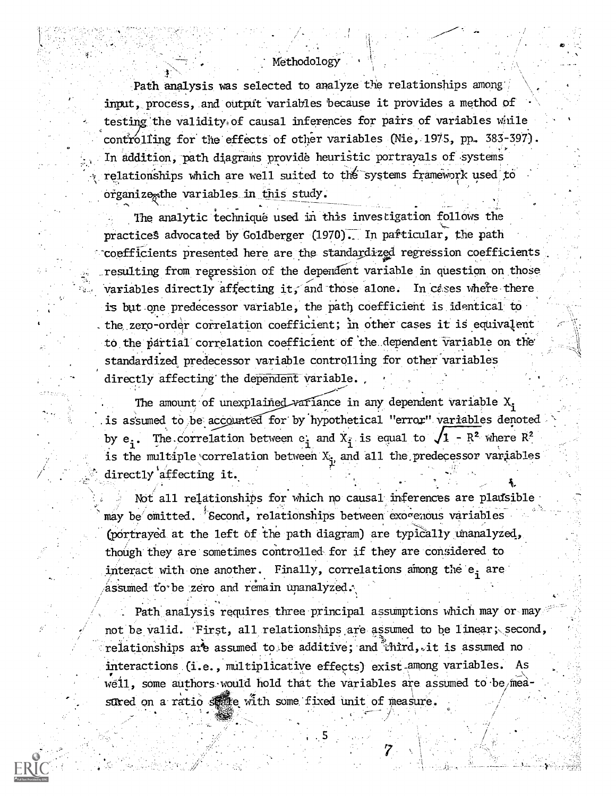### Methodology

Path analysis was selected to analyze the relationships among input, process, and output variables because it provides a method of testing the validity of causal inferences for pairs of variables while controlling for the effects of other variables (Nie, 1975, pp. 383-397). In addition, path diagrams provide heuristic portrayals of systems relationships which are well suited to th6-systems framework used to organize<sub>g</sub>the variables in this study. \_

The analytic technique used in this investigation follows the practices advocated by Goldberger (1970). In particular, the path -coefficients presented here are the standardized regression coefficients resulting from regression of the dependent variable in question on those variables directly affecting it, and those alone. In cases where there is but one predecessor variable, the path coefficient is identical to the zero-order correlation coefficient; in other cases it is equivalent to, the partial correlation coefficient of the dependent Variable on the standardized predecessor variable controlling for other variables directly affecting the dependent variable.

The amount of unexplained variance in any dependent variable  $X_i$ is assumed to be accounted for by hypothetical "error" variables denoted by  $e_i$ . The correlation between  $e_i$  and  $X_i$  is equal to  $\sqrt{1-R^2}$  where  $R^2$ is the multiple correlation between  $X_{n}$  and all the predecessor variables directly affecting it.

Not all relationships for which no causal inferences are plausible may be omitted. 'Second, relationships between exogenous variables (portrayed at the left of the path diagram) are typically unanalyzed, though they are sometimes controlled for if they are considered to interact with one another. Finally, correlations among the e<sub>r</sub> are assumed to be zero and remain unanalyzed.

Path analysis requires three principal assumptions which may or may not be valid. 'First, all relationships are assumed to be linear; second, relationships are assumed to be additive; and third, it is assumed no interactions (i.e., multiplicative effects) exist-among variables. As well, some authors would hold that the variables are assumed to be measured on a ratio steep with some fixed unit of measure.

.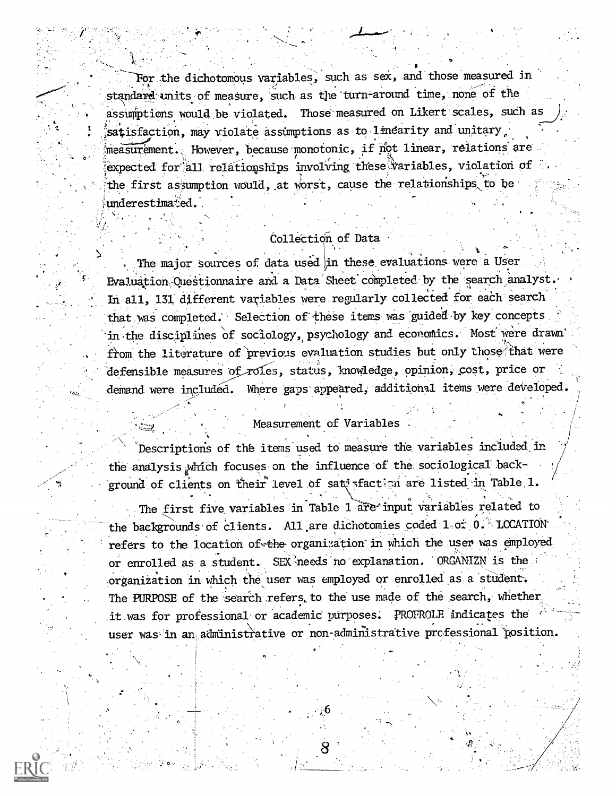For the dichotomous variables, such as sex, and those measured in standard units of measure, such as the turn-around time, none of the assumptions would be violated. Those measured on Likert scales, such as  $\bigcup$ satisfaction, may violate assumptions as to linearity and unitary ; measurement. However, because monotonic, if  $m\phi t$  linear, relations are expected for all relationships involving these variables, violation of the first assumption would, at worst, cause the relationships to be  $underest$ imated.

# Collection. of Data

1.

. The major sources of data used in these evaluations were a User. Evaluation Questionnaire and a Data Sheet completed by the search analyst. In all, 131 different variables were regularly collected for each search that was completed. Selection of these items was guided by key concepts in .the disciplines of sociology, psychology and econornics. Most were drawn' from the literature of previous evaluation studies but only those that were defensible measures of roles, status, knowledge, opinion, cost, price or demand were included. Where gaps appeared, additional items were developed.

# Measurement of Variables

'Description's of the items used to measure the variables included. in the analysis which focuses on the influence of the sociological background of clients on their level of sat; faction are listed in Table 1.

The first five variables in Table 1 are input variables related to the backgrounds of clients. All are dichotomies coded 1 or 0. LOCATIONrefers to the location of the organization in which the user was employed or enrolled as a student. SEX<sup>2</sup>needs no explanation. ORGANIZN is the organization in which the user was employed or enrolled as a student. The PURPOSE of the search refers, to the use made of the search, whether it was for professional or academic purposes. PROFROLE indicates the user was in an administrative or non-administrative professional position.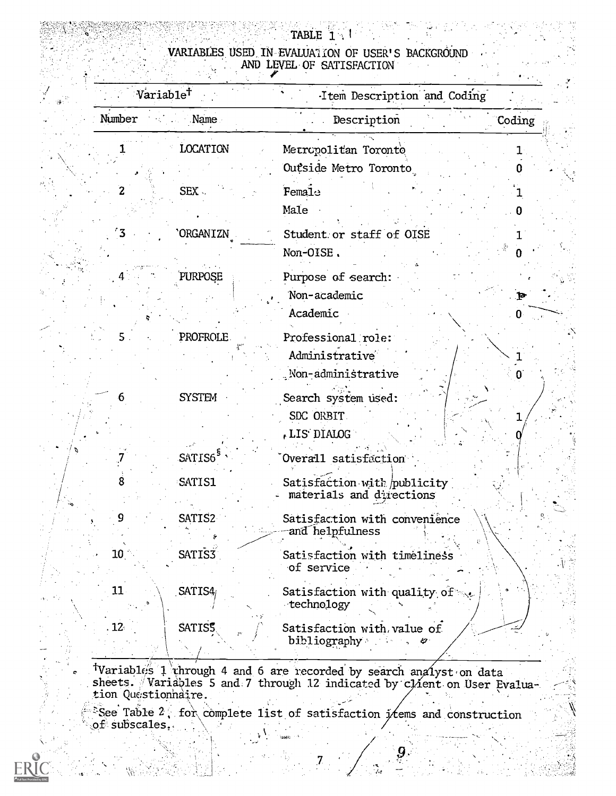# VARIABLES USED IN EVALUATION OF USER'S BACKGROUND AND LEVEL OF SATISFACTION

 $\mathbb{R}$ 

网络地面的 医神经病

TABLE 1

| Variable <sup>†</sup> |                     | Item Description and Coding                             |              |  |
|-----------------------|---------------------|---------------------------------------------------------|--------------|--|
| Number                | Name                | Description                                             | Coding       |  |
|                       | LOCATION            | Metropolitan Toronto                                    | 1            |  |
|                       |                     | Outside Metro Toronto                                   |              |  |
| 2                     | $SEX$ .             | Female                                                  |              |  |
|                       |                     | Male                                                    |              |  |
|                       | <b>ORGANIZN</b>     | Student or staff of OISE                                |              |  |
|                       |                     | Non-OISE.                                               |              |  |
|                       | PURPOSE             | Purpose of search:                                      |              |  |
|                       |                     | Non-academic                                            | Þ            |  |
|                       |                     | Academic                                                | O            |  |
| 5 <sub>1</sub>        | PROFROLE.           | Professional role:                                      |              |  |
|                       |                     | Administrative                                          |              |  |
|                       |                     | Non-administrative                                      | $\mathbf{0}$ |  |
| 6                     | <b>SYSTEM</b>       | Search system used:                                     |              |  |
|                       |                     | SDC ORBIT                                               |              |  |
|                       |                     | , LIS DIALOG                                            |              |  |
|                       | SATIS6 <sup>3</sup> | Overall satisfaction                                    |              |  |
| 8                     | SATIS1              | Satisfaction with publicity<br>materials and directions |              |  |
| 9                     | SATIS2              | Satisfaction with convenience<br>and helpfulness        |              |  |
| 10 <sub>1</sub>       | SATIS3              | Satisfaction with timeliness<br>of service              |              |  |
| 11                    | SATIS4              | Satisfaction with quality of<br>technology              |              |  |
| 12 <sub>1</sub>       | <b>SATIS5</b>       | Satisfaction with value of<br>bibliography              |              |  |

Tvariables 1 chrough 4 and 6 are recorded by search analyst on data<br>sheets. Variables 5 and 7 through 12 indicated by client on User Evaluation Questionnaire. V.

See Table 2. for complete list of satisfaction  $i$ /ems and construction of subscales.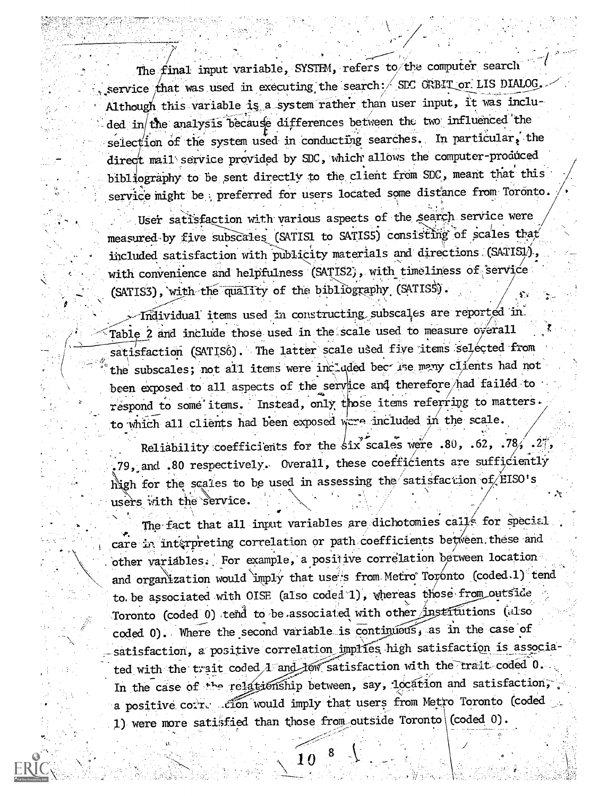The final input variable, SYSTFM, refers to the computer search  $\ldots$ service that was used in executing the search:  $/$  SEC ORBIT or LIS DIALOG. Although this variable is a system rather than user input, it was included in the analysis because differences between the two influenced the selection of the system used in conducting searches. In particular, the direct mail service provided by SDC, which allows the computer-produced bibliography to be sent directly to the client from SDC, meant that this service might be , preferred for users located some distance from Toronto.

User satisfaction with various aspects of the Search service were measured-by five subscales (SATIS1 to SATIS5) consisting of scales that included satisfaction with publicity materials and directions (SATISI), with convenience and helpfulness (SATIS2), with timeliness of service  $\sqrt{2}$  , where  $\frac{1}{2}$ (SATIS3), with the quality of the bibliography (SATISS).

Individual items used in constructing subscales are reported in. Table 2 and include those used in the scale used to measure overall satisfaction (SATIS6). The latter scale used five items selected from the subscales; not all items were included because many clients had not been exposed to all aspects of the service and therefore had failed to respond to some items. Instead, only those items referring to matters. to which all clients had been exposed were included in the scale.

Reliability coefficients for the  $\sin x$  scales were .80, .62, .78, .27, 79, and .80 respectively. Overall, these coefficients are sufficiently high for the scales to be used in assessing the satisfaction of EISO's users with the service.

The fact that all input variables are dichotomies calls for special care in interpreting correlation or path coefficients between, these and other variables. For example, a positive correlation between location and organization would imply that use's from Metro Toronto (coded.1) tend to be associated with OISE (also coded 1), whereas those from outsine Toronto (coded 0) tend to be associated with other institutions (also  $\sim$ coded 0). Where the second variable is continuous, as in the case of satisfaction, a positive correlation implies high satisfaction is associated with the trait coded 1 and low satisfaction with the trait coded 0. In the case of the relationship between, say, location and satisfaction, a positive correlation would imply that users from Metro Toronto (coded 11 were more satisfied than those from outside Toronto (coded 0).

 $\mathbf{v} = \mathbf{v}$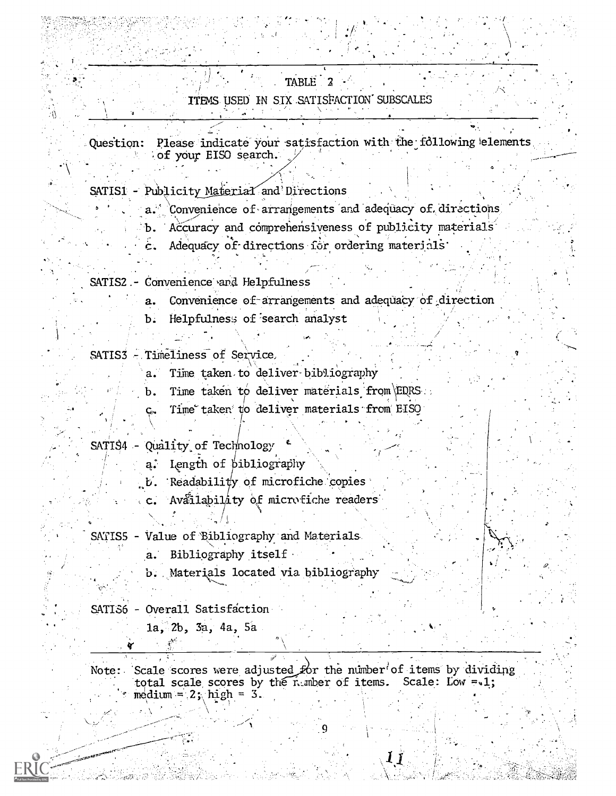# TABLE 2 ITEMS USED IN SIX SATISFACTION SUBSCALES

Question: Please indicate your satisfaction with the following elements of your EISO search.

SATIS1 - Publicity Material and Directions

- Convenience of arrangements and adequacy of directions  $a^{n^s}$
- Accuracy and comprehensiveness of publicity materials b.
- Adequacy of directions for ordering materials ċ.

SATIS2 - Convenience and Helpfulness

- Convenience of arrangements and adequacy of direction a.
- Helpfulness of search analyst b.

SATIS3 - Timeliness of Service,

- Time taken to deliver bibliography  $a.$
- Time taken to deliver materials from EQRS. b.
- Time taken to deliver materials from EISO ç.

SATIS4 - Quality of Technology

- Length of bibliography a:
- Readability of microfiche copies
- Availability of microfiche readers
- SATIS5 Value of Bibliography and Materials
	- Bibliography itself  $a.$
	- b. Materials located via bibliography
- SATIS6 Overall Satisfaction  $1a$ ,  $2b$ ,  $3a$ ,  $4a$ ,  $5a$

Note: Scale scores were adjusted for the number of items by dividing total scale scores by the number of items. Scale: Low = 1;  $\dim = 2$ ; high = 3.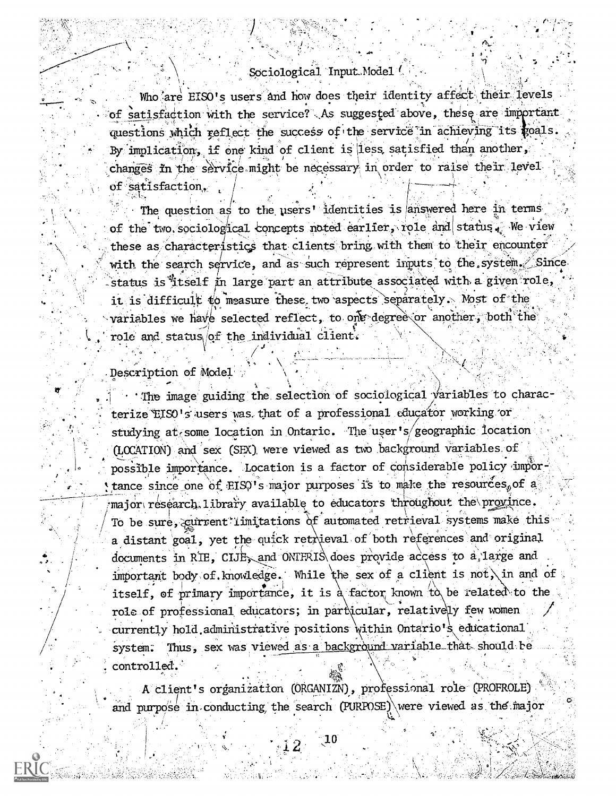## Sociological Input Model (

Who are EISO's users and how does their identity affect their levels of satisfaction with the service? As suggested above, these are important questions which reflect the success of the service in achieving its coals. By implication, if one kind of client is less satisfied than another, changes in the service might be necessary in order to raise their level of satisfaction,

The question as to the users' identities is answered here in terms of the two sociological concepts noted earlier, role and status, We view these as characteristics that clients bring with them to their encounter with the search service, and as such represent imputs to the system. Since status is itself in large part an attribute associated with a given role, it is difficult to measure these two aspects separately. Most of the variables we have selected reflect, to one degree or another, both the role and status of the individual client.

Description of Model

. The image guiding the selection of sociological variables to characterize EISO's users was that of a professional educator working or studying at some location in Ontaric. The user's geographic location (LOCATION) and sex (SEX) were viewed as two background variables of possible importance. Location is a factor of considerable policy importance since one of  $EISQ'$ s major purposes is to make the resources, of a major research. library available to educators throughout the province. To be sure, eurrent limitations of automated retrieval systems make this a distant goal, yet the quick retrieval of both references and original documents in RIE, CIJE, and ONTFRIS does provide access to a large and important body of knowledge. While the sex of a client is not, in and of itself, of primary importance, it is a factor known to be related to the role of professional educators; in particular, relatively few women currently hold administrative positions within Ontario's educational system. Thus, sex was viewed as a background variable that should be controlled.

A client's organization (ORGANIZN), professional role (PROFROLE) and purpose in conducting the search (PURPOSE) were viewed as the major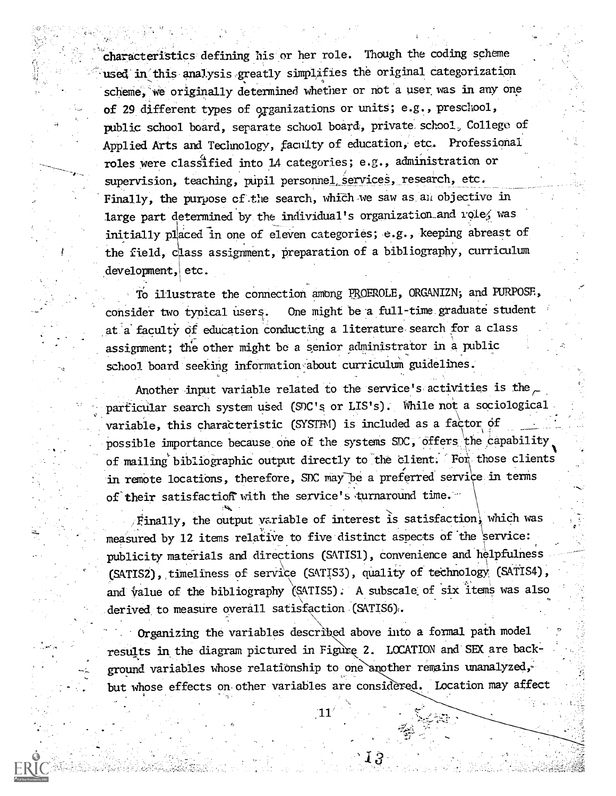characteristics defining his or her role. Though the coding scheme used in this analysis greatly simplifies the original categorization scheme, we originally determined whether or not a user was in any one of 29 different types of organizations or units; e.g., preschool, public school board, separate school board, private. school, College of Applied Arts and Technology, faculty of education, etc. Professional roles were classified into 14 categories; e.g., administration or supervision, teaching, pupil personnel services, research, etc. Finally, the purpose of the search, which we saw as all objective in large part determined by the individual's organization and role; was initially placed in one of eleven categories; e.g., keeping abreast of the field, class assignment, preparation of a bibliography, curriculum development,\ etc.

To illustrate the connection among PROFROLE, ORGANIZN; and PURPOSE, consider two typical users. One might be a full-time graduate student at a faculty of education conducting a literature search for a class assignment; the other might be a senior administrator in a public , school board seeking information about curriculum guidelines.

variable, this characteristic (SYSTFM) is included as a factor of Another input variable related to the service's activities is the  $\sim$ parficular search system used (SOC's or LIS's). While not a sociological possible importance because one of the systems  $SDC$ , offers the capability of mailing bibliographic output directly to the client. For those clients in remote locations, therefore, SDC may be a preferred service in terms of their satisfaction with the service's turnaround time.

Finally, the output variable of interest is satisfaction, which was measured by 12 items relative to five distinct aspects of the service: publicity materials and directions (SATIS1), convenience and helpfulness (SATIS2), timeliness of service (SATIS3), quality of technology (SATIS4),  $\,$ and value of the bibliography (SATIS5). A subscale of six items was also derived to measure overall satisfaction (SATIS6):.

Organizing the variables described above into a formal path model results in the diagram pictured in Figure 2. LOCATION and SEX are background variables whose relationship to one another remains unanalyzed, but whose effects on other variables are considered. Location may affect

 $\mathbf{11}$ 

.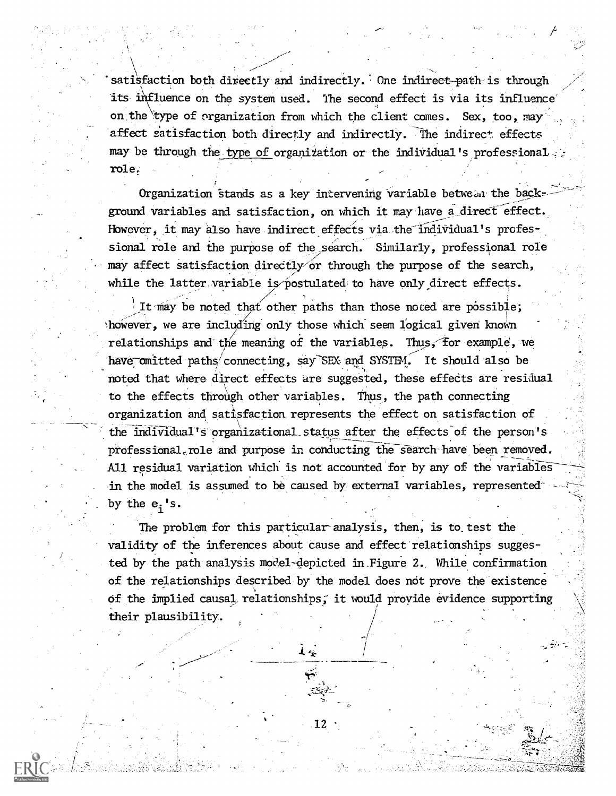satisfaction both directly and indirectly. One indirect path is through its influence on the system used. The second effect is via its influence on the type of organization from which the client comes. Sex, too, may affect satisfaction both directly and indirectly. The indirect effects may be through the type of organization or the individual's professional . role,

Organization Stands as a key intervening variable between the background variables and satisfaction, on which it may have a direct effect. However, it may also have indirect effects via the individual's professional role and the purpose of the search. Similarly, professional role may affect satisfaction directly or through the purpose of the search, while the latter variable is postulated to have only direct effects.

It may be noted that other paths than those noted are possible; 'however, we are including only those which seem logical given known relationships and the meaning of the variables. Thus, for example, we have omitted paths connecting, say SEX and SYSTEM. It should also be noted that where direct effects are suggested, these effects are residual to the effects through other variables. Thus, the path connecting organization and satisfaction represents the effect on satisfaction of the individual's organizational status after the effects of the person's professional, role and purpose in conducting the search have been removed. All residual variation which is not accounted for by any of the variables in the model is assumed to be caused by external variables, representedby the  $e_i$ 's.

The problem for this particular analysis, then, is to test the validity of the inferences about cause and effect relationships suggested by the path analysis model-depicted in Figure 2. While confirmation of the relationships described by the model does not prove the existence Of the implied causal, relationships; it would proyide evidence supporting their plausibility.

12

ન સ્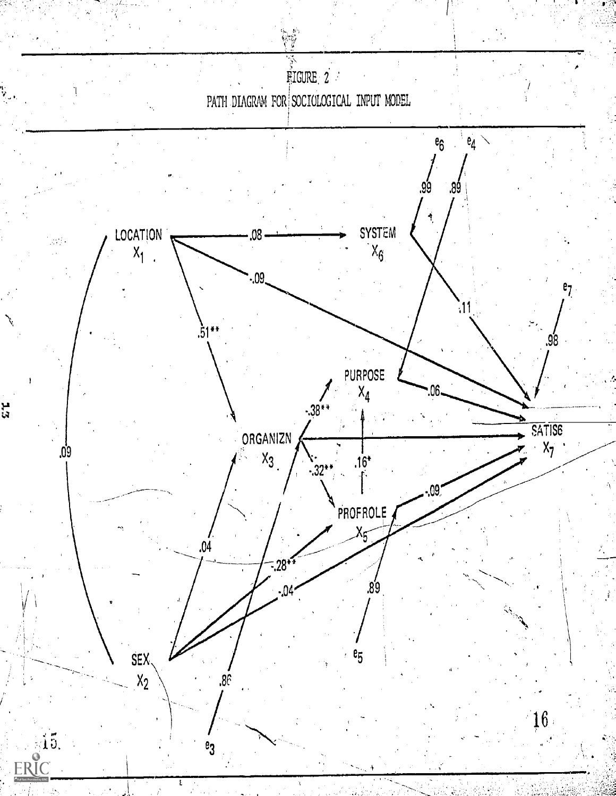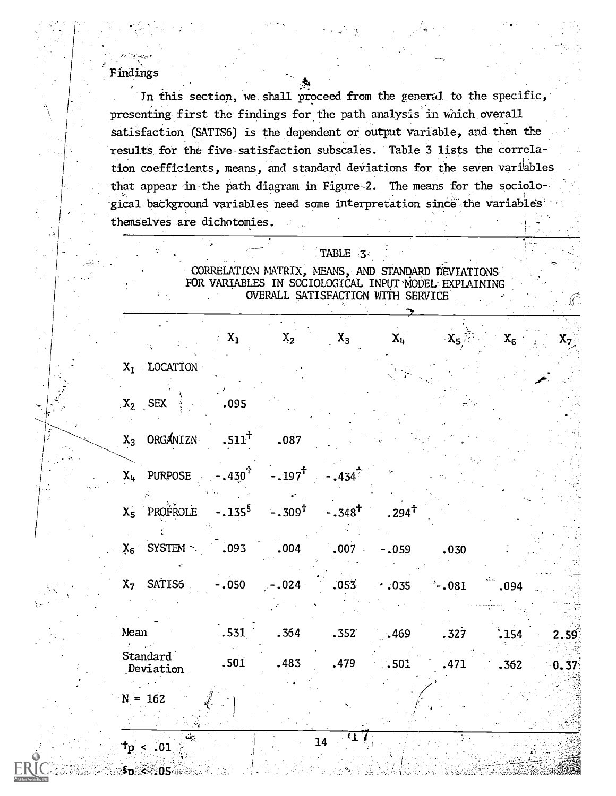## Findings

 $+p \sim .01$ 

<sup>5</sup>p < 05

Tn this section, we shall proceed from the general to the specific, presenting first the findings for the path analysis in which overall satisfaction (SATIS6) is the dependent or output variable, and then the results, for the five satisfaction subscales. Table 3 lists the correla tion coefficients, means, and standard deviations for the seven variables that appear in the path diagram in Figure,2. The means for the sociolo-- 'gical background variables need some interpretation since the variables . . themselves are dichotomies.

|                                                                                   | $X_1$               | $X_2$            | $X_3$             | $X_{4}$           | $-X_5$ .     | $X_6$                     | $X_7$ |
|-----------------------------------------------------------------------------------|---------------------|------------------|-------------------|-------------------|--------------|---------------------------|-------|
| $X_1$ LOCATION                                                                    |                     |                  |                   |                   |              |                           |       |
| $X_2$ SEX                                                                         | .095                |                  |                   |                   |              |                           |       |
| $X_3$ ORGANIZN                                                                    | $.511$ <sup>†</sup> | .087             |                   |                   |              |                           |       |
| $X_4$ PURPOSE - 430 <sup><sup>†</sup></sup> - 197 <sup>†</sup> - 434 <sup>†</sup> |                     |                  |                   |                   |              |                           |       |
| $X_5$ PROFROLE                                                                    |                     | $-135^5 - 309^+$ | $-.348^{\dagger}$ | $.294^{\dagger}$  |              |                           |       |
| $X_6$ SYSTEM - .093 .004                                                          |                     |                  |                   | $.007 - .059$     | .030         |                           |       |
| $X7$ SATIS6                                                                       | $-.050$             | $2 - 024$        |                   | $.053 \cdot .035$ | $^{*}$ -.081 | $\ddot{\phantom{0}}$ .094 |       |
|                                                                                   |                     |                  |                   |                   |              |                           |       |
| Mean                                                                              | .531                | .364             | .352              | .469              | .327         | $\cdot 154$               | 2.59  |
| Standard<br>Deviation                                                             | .501                | .483             | .479              | $\therefore$ 501  | .471         | $-362$                    | 0.37  |
| $N = 162$                                                                         |                     |                  | Ŋ.                |                   |              |                           |       |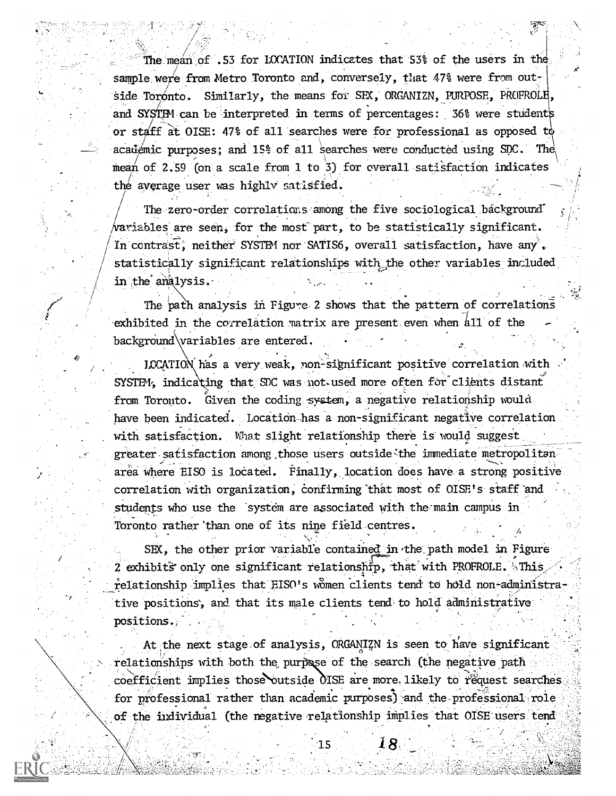The mean of .S3 for. LOCATION indicates that 53% of the users in the sample were from Metro Toronto and, conversely, that 47% were from outside Toronto. Similarly, the means for SEX, ORGANIZN, PURPOSE, PROFROLE, and SYSTEM can be interpreted in terms of percentages: 36% were students or staff at OISE: 47% of all searches were for professional as opposed to academic purposes; and 15% of all searches were conducted using SDC. The mean of 2.59 (on a scale from 1 to 3) for overall satisfaction indicates  $\overline{a}$ the average user was highly satisfied.

The zero-order correlations among the five sociological background" riables are seen, for the most part, to be statistically significant. In contrast, neither SYSTEM nor SATIS6, overall satisfaction, have any. statistically significant relationships with the other variables included in ,the° analysis.

The path analysis in Figure 2 shows that the pattern of correlations exhibited in the correlation matrix are present even when all of the. background variables are entered.

LCCATION has a very weak, non-significant positive correlation with SYSTFM, indicating that SDC was not used more often for clients distant from Toronto. Given the coding system, a negative relationship would have been indicated. Location has a non-significant negative correlation with satisfaction. What slight relationship there is would suggest greater satisfaction among those users outside the immediate metropolitan area where EISO is located. Finally, location does have a strong positive correlation with organization, confirming that most of OISE's staff and students who use the 'system are associated with the main campus in Toronto rather than one of its nine field centres.

SEX, the other prior variable contained in the path model in Figure 2 exhibits only one significant relationship, that with PROFROLE. This  $\sim$ relationship implies that EISO's women clients tend to hold non-administrative positions', and that its male clients tend-to hold administrative positions.,

At the next stage of analysis, ORGANIZN is seen to have significant relationships with both the purpose of the search (the negative path coefficient implies those outside OISE are more. likely to request searches for professional rather than academic purposes) and the professional role of the individual (the negative relationship implies that OISE users tend

15  $18.$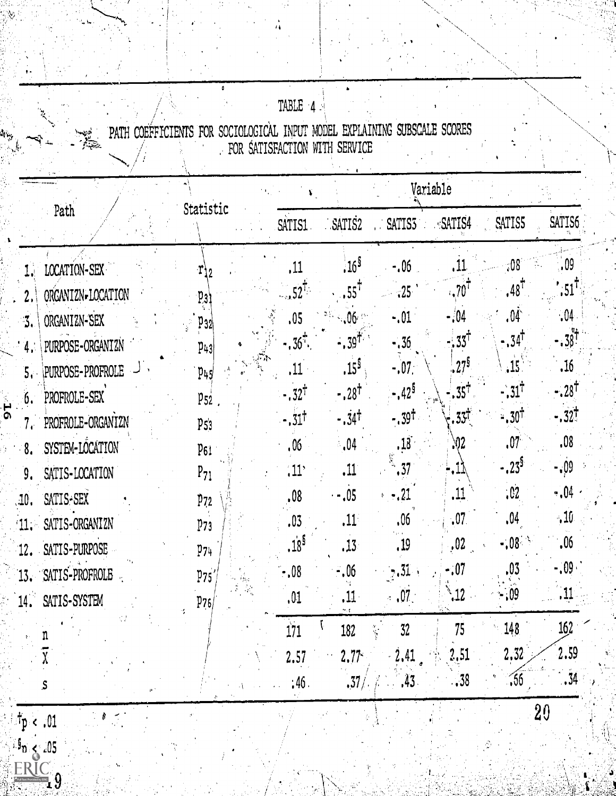|                           |           |                        |                     | Variable           |                |                      |                    |
|---------------------------|-----------|------------------------|---------------------|--------------------|----------------|----------------------|--------------------|
| Path                      | Statistic | SATIS1                 | SATIS2              | SATIS <sub>3</sub> | SATIS4         | SATIS5               | SATIS6             |
| LOCATION-SEX              | $T_{12}$  | ,11                    | $.16^{5}$           | $-.06$             | .11            | $\langle 08 \rangle$ | .09                |
| ORGANIZN-LOCATION<br>2.   | [23]      | $\sim$ 52 <sup>T</sup> | $55^{\mathrm{T}}$   | $-25$              | $4,70^{1}$     | $,48^{7}$            | $,51$ <sup>T</sup> |
| ORGANIZN-SEX<br>3.        | $p_{32}$  | .05                    | $.06$ .             | $-.01$             | -.04           | .04 <sub>°</sub>     | .04                |
| PURPOSE-ORGANIZN<br>4,    | $p_{43}$  | $-0.36^{\circ}$ .      | $-0.39^{+0.1}$      | $-0.36$            | $33^{\degree}$ | $-.34$ <sup>T</sup>  | - . 38!            |
| PURPOSE-PROFROLE<br>5. .  | $p_{45}$  | .11                    | $,15^5$             | $-.07.$            | .27            | .15                  | .16                |
| PROFROLE-SEX<br>δ.        | $p_{52}$  | $-.32^{\dagger}$       | $-.28^{+}$          | $-.425$            | $-.35^{\circ}$ | $-.31^{\dagger}$     | -.28†              |
| PROFROLE-ORGANIZN<br>7.   | P53       | $-.31^{\dagger}$       | $-.34$ <sup>†</sup> | $-0.39^{\dagger}$  | $33^{\dagger}$ | $-30^{\dagger}$      | $-0.32^{+0.1}$     |
| SYSTEM-LOCATION<br>8.     | $p_{61}$  | .06                    | $\cdot$ ,04         | .18                | .02            | .07                  | .08                |
| SATIS-LOCATION<br>9.      | $P_{71}$  | $\left  \cdot \right $ | .11                 | $\boldsymbol{.37}$ | .11            | $-0.23^{5}$          | $-0.09$            |
| SATIS-SEX<br>40,          | $p_{72}$  | .08                    | $\cdot$ - .05       | , 21<br>$b = 0$    | .11            | .02                  | $-.04.$            |
| SATIS-ORGANIZN<br>$11 -$  | $p_{73}$  | .03                    | .11                 | .06                | .07            | .04                  | 40                 |
| SATIS-PURPOSE<br>12.      | $p_{74}$  | $.18^{5}$              | .13                 | .19                | ,02            | $-08$                | .06                |
| 计编译<br>13. SATIS-PROFROLE | $p_{75}$  | $-08$                  | $-06$               | .31                | - 07           | ,03                  | - 09               |
| SATIS-SYSTEM<br>14.       | $p_{76}$  | .01                    | $.11 \cdot$         | $.07$ .            | $\mathbf{12}$  | :09                  | , 11               |
|                           |           | 171                    | 182                 | 32                 | 75             | 148                  | 162                |
|                           |           | 2.57                   | 2.77                | 2.41               | 2,51           | 2,32                 | 2.59               |
| S                         |           | :46.                   | .37/                | .43.               | $\cdot\,38$    | .56                  | ., 34              |

TABLE 4

d

Ť

 $\frac{15}{2}$  b  $\leq$  .05

 $\overline{9}$ 

ERIC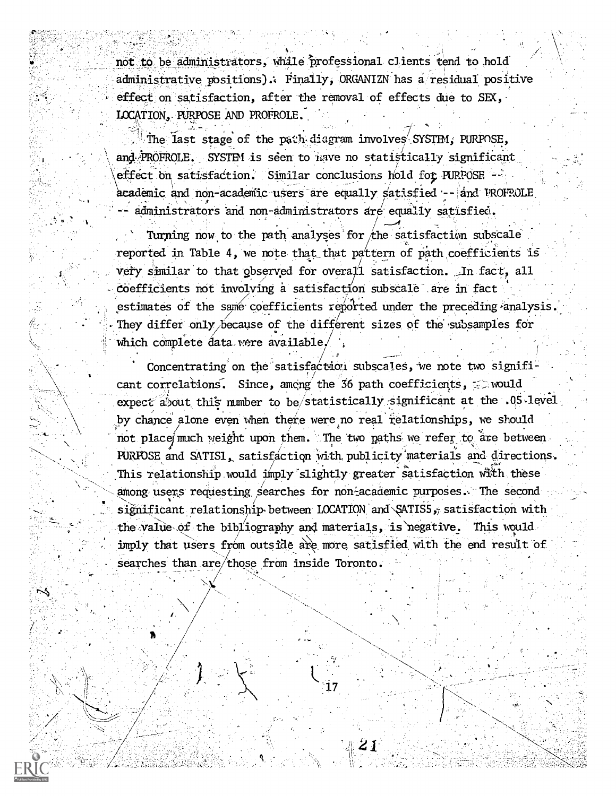not to be administrators, while professional clients tend to hold administrative positions). Finally, ORGANIZN has a residual positive effect on satisfaction, after the removal of effects due to SEX, LOCATION, PURPOSE AND PROFROLE

The last stage of the path diagram involves SYSTEM; PURPOSE, and PROFROLE. SYSTEM is seen to have no statistically significant effect on satisfaction. Similar conclusions hold for PURPOSE -academic and non-academic users are equally satisfied -- and PROFROLE administrators 'and non-administrators are equally satisfied.

Turning now to the path analyses for the satisfaction subscale reported in Table 4, we note that\_that pattern of path coefficients is very similar to that observed for overall satisfaction. In fact, all Coefficients not involving a satisfaction subscale are in fact estimates of the same coefficients reported under the preceding analysis.<br>They differ only because of the different sizes of the subsamples for which complete data were available.

Concentrating on the satisfaction subscales, we note two significant correlations. Since, among the 36 path coefficients,  $\epsilon$  would expect about this number to be/statistically significant at the .05 level by chance alone even when there were no real relationships, we should not place/ much weight upon them. The two paths we refer to are between PURPOSE and SATIS1, satisfaction with publicity materials and directions. This relationship would imply slightly greater satisfaction with these among users requesting searches for non-academic purposes. The second significant relationship between LOCATION and  $\text{SATISS}_2$  satisfaction with the value of the bibliography and materials, is negative. This would imply that users from outside are more satisfied with the end result of searches than  $are/$  those from inside Toronto.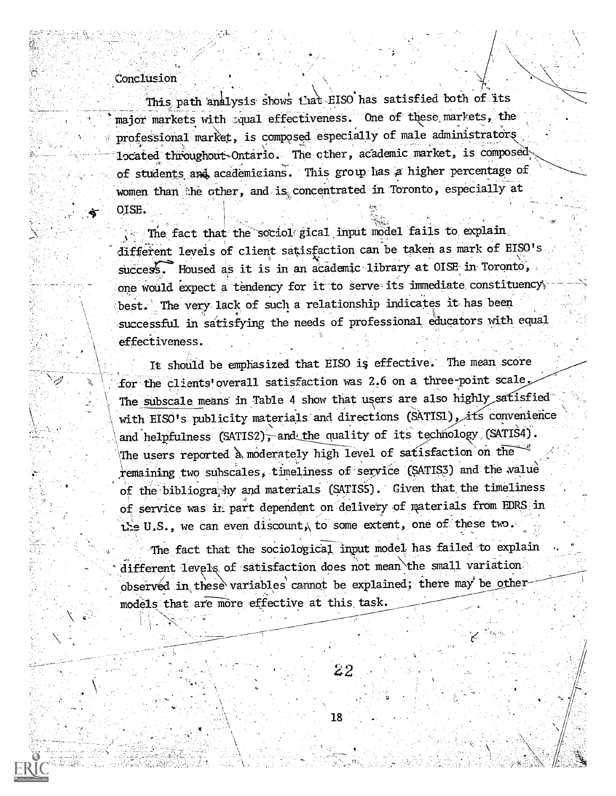## Conclusion

This path analysis shows that EISO has satisfied both of its major markets with squal effectiveness. One of these markets, the professional market, is composed especially of male administrators located throughout-Ontario. The other, academic market, is composed.  $\sim$ of students and academicians. This group has a higher percentage of women than the other, and is concentrated in Toronto, especially at QISE.

The fact that the sociol gical input model fails to explain. different levels of client satisfaction can be taken as mark of EISO's  $succes$ . Housed as it is in an academic library at OISE in Toronto, one would expect a tendency for it to serve its immediate constituency. best. The very lack of such a relationship indicates it has been successful in satisfying the needs of professional educators with equal effectiveness.

It should be emphasized that EISO is effective. The mean score for the clients' overall satisfaction was 2.6 on a three-point scale. The subscale means in Table 4 show that users are also highly satisfied with EISO's publicity materials and directions (SATIS1), its convenience and helpfulness (SATIS2), and the quality of its technology (SATIS4). The users reported a moderately high level of satisfaction on the remaining two subscales, timeliness of service (SATIS3) and the value of the bibliogra<sub>.</sub>hy and materials (SATIS5). Given that the timeliness of service was it part dependent on delivery of materials from EMS in the U.S., we can even discount, to some extent, one of these two.

The fact that the sociological input model has failed to explain different levels of satisfaction does not mean the small variation observed in these variables cannot be explained; there may be othermodels that are more effective at this task.

 $\boldsymbol{z}2$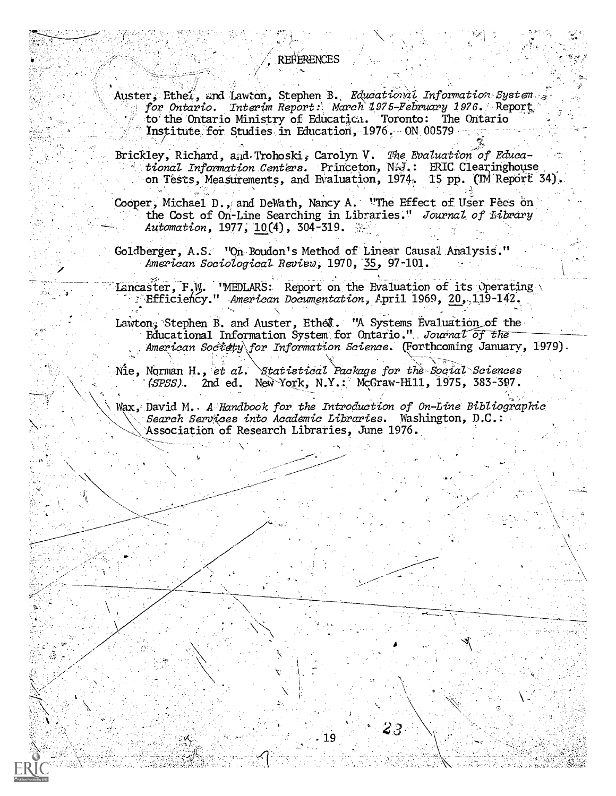## REFERENCES

Auster, Ethel, and Lawton, Stephen B. Educational Information System for Ontario. Interim Report: March 1975-February 1976. Report. to the Ontario Ministry of Educatica. Toronto: The Ontario Institute for Studies in Education, 1976. ON 00579

Brickley, Richard, and Trohoski, Carolyn V. The Evaluation of Educational Information Centers. Princeton, N.J.: ERIC Clearinghouse on Tests, Measurements, and Evaluation, 1974, 15 pp. (TM Report 34).

Cooper, Michael D., and DeWath, Nancy A. "The Effect of User Fees on the Cost of On-Line Searching in Libraries." Journal of Library Automation, 1977, 10(4), 304-319.

Goldberger, A.S. "On. Boudon's Method of Linear Causal Analysis." American Sociological Review, 1970, 35, 97-101.

Lancaster, F.W. 'MEDLARS: Report on the Evaluation of its Operating **Efficiency.**" American Documentation, April 1969, 20, 119-142.

Lawton; Stephen B. and Auster, Ethel. "A Systems Evaluation of the Educational Information System for Ontario." Journal of the American Society for Information Science. (Forthcoming January, 1979).

 $\sum_{i=1}^n\sum_{i=1}^n\sum_{j=1}^n\frac{1}{j!}\sum_{j=1}^n\frac{1}{j!}\sum_{j=1}^n\frac{1}{j!}\sum_{j=1}^n\frac{1}{j!}\sum_{j=1}^n\frac{1}{j!}\sum_{j=1}^n\frac{1}{j!}\sum_{j=1}^n\frac{1}{j!}\sum_{j=1}^n\frac{1}{j!}\sum_{j=1}^n\frac{1}{j!}\sum_{j=1}^n\frac{1}{j!}\sum_{j=1}^n\frac{1}{j!}\sum_{j=1}^n\frac{1}{j!}\sum_{j=1}^n\$ Nie, Norman H., *et al. `Statistical Package for the Social Sciences*  $(SPSS)$ . 2nd ed. New York, N.Y.: McGraw-Hill, 1975, 383-397.

Wax, David M., A Handbook for the Introduction of On-Line Bibliographic Search Services into Academic Libraries. Washington,  $D.C.:$ Association of Research Libraries, June 1976.